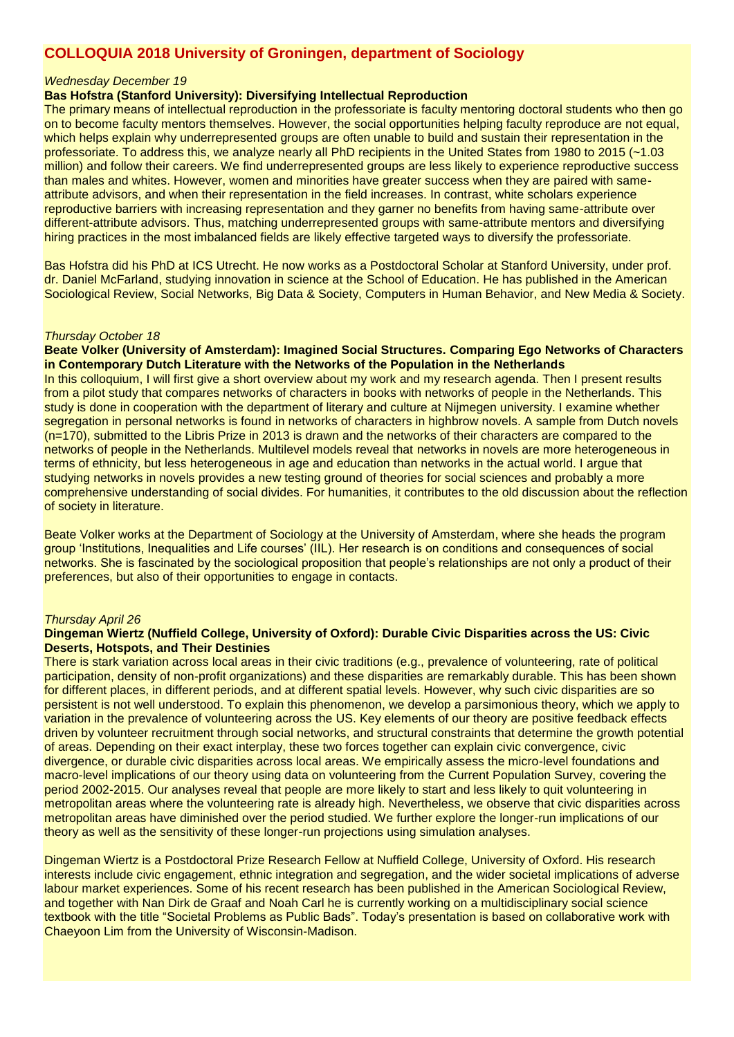# **COLLOQUIA 2018 University of Groningen, department of Sociology**

#### *Wednesday December 19*

#### **Bas Hofstra (Stanford University): Diversifying Intellectual Reproduction**

The primary means of intellectual reproduction in the professoriate is faculty mentoring doctoral students who then go on to become faculty mentors themselves. However, the social opportunities helping faculty reproduce are not equal, which helps explain why underrepresented groups are often unable to build and sustain their representation in the professoriate. To address this, we analyze nearly all PhD recipients in the United States from 1980 to 2015 (~1.03 million) and follow their careers. We find underrepresented groups are less likely to experience reproductive success than males and whites. However, women and minorities have greater success when they are paired with sameattribute advisors, and when their representation in the field increases. In contrast, white scholars experience reproductive barriers with increasing representation and they garner no benefits from having same-attribute over different-attribute advisors. Thus, matching underrepresented groups with same-attribute mentors and diversifying hiring practices in the most imbalanced fields are likely effective targeted ways to diversify the professoriate.

Bas Hofstra did his PhD at ICS Utrecht. He now works as a Postdoctoral Scholar at Stanford University, under prof. dr. Daniel McFarland, studying innovation in science at the School of Education. He has published in the American Sociological Review, Social Networks, Big Data & Society, Computers in Human Behavior, and New Media & Society.

## *Thursday October 18*

**Beate Volker (University of Amsterdam): Imagined Social Structures. Comparing Ego Networks of Characters in Contemporary Dutch Literature with the Networks of the Population in the Netherlands** In this colloquium, I will first give a short overview about my work and my research agenda. Then I present results

from a pilot study that compares networks of characters in books with networks of people in the Netherlands. This study is done in cooperation with the department of literary and culture at Nijmegen university. I examine whether segregation in personal networks is found in networks of characters in highbrow novels. A sample from Dutch novels (n=170), submitted to the Libris Prize in 2013 is drawn and the networks of their characters are compared to the networks of people in the Netherlands. Multilevel models reveal that networks in novels are more heterogeneous in terms of ethnicity, but less heterogeneous in age and education than networks in the actual world. I argue that studying networks in novels provides a new testing ground of theories for social sciences and probably a more comprehensive understanding of social divides. For humanities, it contributes to the old discussion about the reflection of society in literature.

Beate Volker works at the Department of Sociology at the University of Amsterdam, where she heads the program group 'Institutions, Inequalities and Life courses' (IIL). Her research is on conditions and consequences of social networks. She is fascinated by the sociological proposition that people's relationships are not only a product of their preferences, but also of their opportunities to engage in contacts.

#### *Thursday April 26*

#### **Dingeman Wiertz (Nuffield College, University of Oxford): Durable Civic Disparities across the US: Civic Deserts, Hotspots, and Their Destinies**

There is stark variation across local areas in their civic traditions (e.g., prevalence of volunteering, rate of political participation, density of non-profit organizations) and these disparities are remarkably durable. This has been shown for different places, in different periods, and at different spatial levels. However, why such civic disparities are so persistent is not well understood. To explain this phenomenon, we develop a parsimonious theory, which we apply to variation in the prevalence of volunteering across the US. Key elements of our theory are positive feedback effects driven by volunteer recruitment through social networks, and structural constraints that determine the growth potential of areas. Depending on their exact interplay, these two forces together can explain civic convergence, civic divergence, or durable civic disparities across local areas. We empirically assess the micro-level foundations and macro-level implications of our theory using data on volunteering from the Current Population Survey, covering the period 2002-2015. Our analyses reveal that people are more likely to start and less likely to quit volunteering in metropolitan areas where the volunteering rate is already high. Nevertheless, we observe that civic disparities across metropolitan areas have diminished over the period studied. We further explore the longer-run implications of our theory as well as the sensitivity of these longer-run projections using simulation analyses.

Dingeman Wiertz is a Postdoctoral Prize Research Fellow at Nuffield College, University of Oxford. His research interests include civic engagement, ethnic integration and segregation, and the wider societal implications of adverse labour market experiences. Some of his recent research has been published in the American Sociological Review, and together with Nan Dirk de Graaf and Noah Carl he is currently working on a multidisciplinary social science textbook with the title "Societal Problems as Public Bads". Today's presentation is based on collaborative work with Chaeyoon Lim from the University of Wisconsin-Madison.